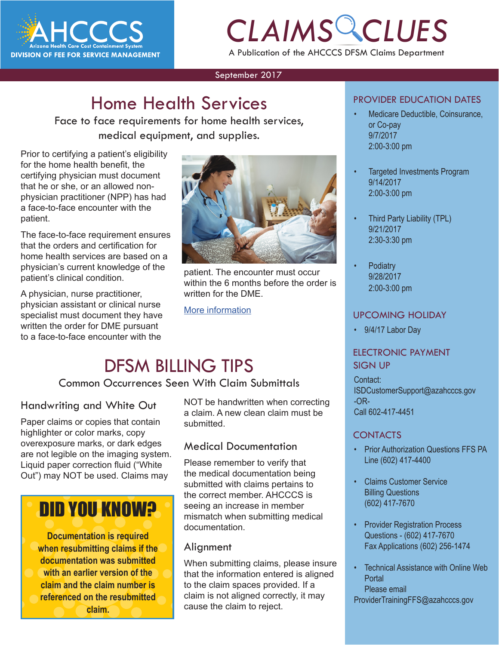

# *CLAIMS CLUES* A Publication of the AHCCCS DFSM Claims Department

#### September 2017

## **Home Health Services**

Face to face requirements for home health services, medical equipment, and supplies.

Prior to certifying a patient's eligibility for the home health benefit, the certifying physician must document that he or she, or an allowed nonphysician practitioner (NPP) has had a face-to-face encounter with the patient.

The face-to-face requirement ensures that the orders and certification for home health services are based on a physician's current knowledge of the patient's clinical condition.

A physician, nurse practitioner, physician assistant or clinical nurse specialist must document they have written the order for DME pursuant to a face-to-face encounter with the



patient. The encounter must occur within the 6 months before the order is written for the DME.

[More information](https://www.cms.gov/site-search/search-results.html?q=face%20to%20face%20requirements
)

### DFSM BILLING TIPS

Common Occurrences Seen With Claim Submittals

### Handwriting and White Out

Paper claims or copies that contain highlighter or color marks, copy overexposure marks, or dark edges are not legible on the imaging system. Liquid paper correction fluid ("White Out") may NOT be used. Claims may

# DID YOU KNOW?

**Documentation is required when resubmitting claims if the documentation was submitted with an earlier version of the claim and the claim number is referenced on the resubmitted claim.**

NOT be handwritten when correcting a claim. A new clean claim must be submitted.

### Medical Documentation

Please remember to verify that the medical documentation being submitted with claims pertains to the correct member. AHCCCS is seeing an increase in member mismatch when submitting medical documentation.

#### **Alignment**

When submitting claims, please insure that the information entered is aligned to the claim spaces provided. If a claim is not aligned correctly, it may cause the claim to reject.

#### PROVIDER EDUCATION DATES

- Medicare Deductible, Coinsurance, or Co-pay 9/7/2017 2:00-3:00 pm
- Targeted Investments Program 9/14/2017 2:00-3:00 pm
- Third Party Liability (TPL) 9/21/2017 2:30-3:30 pm
- **Podiatry** 9/28/2017 2:00-3:00 pm

#### UPCOMING HOLIDAY

• 9/4/17 Labor Day

#### ELECTRONIC PAYMENT SIGN UP

Contact: ISDCustomerSupport@azahcccs.gov -OR-Call 602-417-4451

#### **CONTACTS**

- Prior Authorization Questions FFS PA Line (602) 417-4400
- Claims Customer Service Billing Questions (602) 417-7670
- **Provider Registration Process** Questions - (602) 417-7670 Fax Applications (602) 256-1474
- Technical Assistance with Online Web **Portal** Please email ProviderTrainingFFS@azahcccs.gov